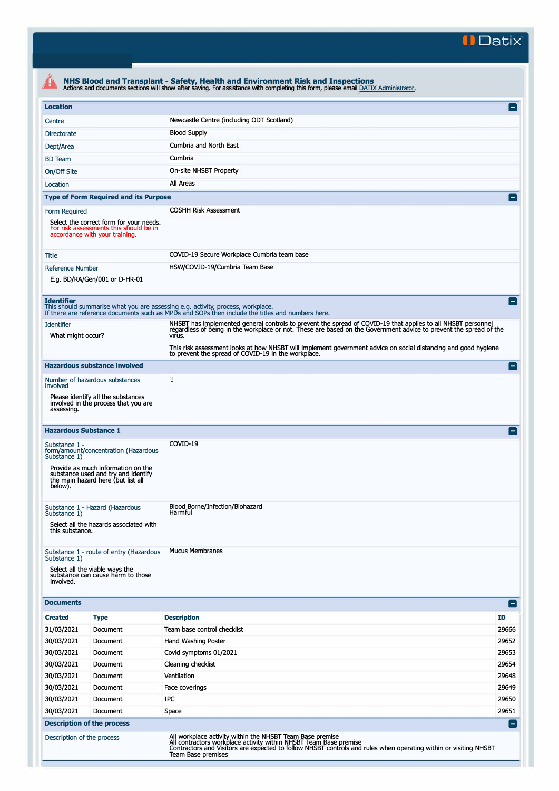**II Datix'** 

|                                                                                                                                                                      |                                                                                                                 | NHS Blood and Transplant - Safety, Health and Environment Risk and Inspections<br>Actions and documents sections will show after saving. For assistance with completing this form, please email DATIX Administrator.               |                |  |  |  |
|----------------------------------------------------------------------------------------------------------------------------------------------------------------------|-----------------------------------------------------------------------------------------------------------------|------------------------------------------------------------------------------------------------------------------------------------------------------------------------------------------------------------------------------------|----------------|--|--|--|
| <b>Location</b>                                                                                                                                                      |                                                                                                                 |                                                                                                                                                                                                                                    | Α              |  |  |  |
| Centre                                                                                                                                                               |                                                                                                                 | Newcastle Centre (including ODT Scotland)                                                                                                                                                                                          |                |  |  |  |
| <b>Directorate</b>                                                                                                                                                   |                                                                                                                 | <b>Blood Supply</b>                                                                                                                                                                                                                |                |  |  |  |
| Dept/Area                                                                                                                                                            |                                                                                                                 | Cumbria and North East                                                                                                                                                                                                             |                |  |  |  |
| <b>BD</b> Team                                                                                                                                                       |                                                                                                                 | Cumbria                                                                                                                                                                                                                            |                |  |  |  |
| On/Off Site                                                                                                                                                          |                                                                                                                 | On-site NHSBT Property                                                                                                                                                                                                             |                |  |  |  |
| Location                                                                                                                                                             |                                                                                                                 | All Areas                                                                                                                                                                                                                          |                |  |  |  |
|                                                                                                                                                                      | <b>Type of Form Required and its Purpose</b>                                                                    |                                                                                                                                                                                                                                    | Е              |  |  |  |
| <b>COSHH Risk Assessment</b><br>Form Required<br>Select the correct form for your needs.<br>For risk assessments this should be in<br>accordance with your training. |                                                                                                                 |                                                                                                                                                                                                                                    |                |  |  |  |
| Title                                                                                                                                                                |                                                                                                                 | COVID-19 Secure Workplace Cumbria team base                                                                                                                                                                                        |                |  |  |  |
| <b>Reference Number</b>                                                                                                                                              | E.g. BD/RA/Gen/001 or D-HR-01                                                                                   | HSW/COVID-19/Cumbria Team Base                                                                                                                                                                                                     |                |  |  |  |
| <b>Identifier</b>                                                                                                                                                    |                                                                                                                 | This should summarise what you are assessing e.g. activity, process, workplace.<br>If there are reference documents such as MPDs and SOPs then include the titles and numbers here.                                                | Е.             |  |  |  |
| <b>Identifier</b>                                                                                                                                                    |                                                                                                                 | NHSBT has implemented general controls to prevent the spread of COVID-19 that applies to all NHSBT personnel<br>regardless of being in the workplace or not. These are based on the Government advice to prevent the spread of the |                |  |  |  |
| What might occur?                                                                                                                                                    |                                                                                                                 | virus.                                                                                                                                                                                                                             |                |  |  |  |
|                                                                                                                                                                      |                                                                                                                 | This risk assessment looks at how NHSBT will implement government advice on social distancing and good hygiene<br>to prevent the spread of COVID-19 in the workplace.                                                              |                |  |  |  |
|                                                                                                                                                                      | <b>Hazardous substance involved</b>                                                                             |                                                                                                                                                                                                                                    | E              |  |  |  |
|                                                                                                                                                                      | Number of hazardous substances                                                                                  | 1                                                                                                                                                                                                                                  |                |  |  |  |
| involved                                                                                                                                                             | Please identify all the substances                                                                              |                                                                                                                                                                                                                                    |                |  |  |  |
| assessing.                                                                                                                                                           | involved in the process that you are                                                                            |                                                                                                                                                                                                                                    |                |  |  |  |
| <b>Hazardous Substance 1</b>                                                                                                                                         |                                                                                                                 |                                                                                                                                                                                                                                    | l –            |  |  |  |
| Substance 1 -<br>Substance 1)                                                                                                                                        | form/amount/concentration (Hazardous                                                                            | COVID-19                                                                                                                                                                                                                           |                |  |  |  |
| below).                                                                                                                                                              | Provide as much information on the<br>substance used and try and identify<br>the main hazard here (but list all |                                                                                                                                                                                                                                    |                |  |  |  |
| Substance 1 - Hazard (Hazardous<br>Substance 1)<br>Select all the hazards associated with                                                                            |                                                                                                                 | Blood Borne/Infection/Biohazard<br>Harmful                                                                                                                                                                                         |                |  |  |  |
| this substance.                                                                                                                                                      | Substance 1 - route of entry (Hazardous                                                                         | <b>Mucus Membranes</b>                                                                                                                                                                                                             |                |  |  |  |
| Substance 1)<br>involved.                                                                                                                                            | Select all the viable ways the<br>substance can cause harm to those                                             |                                                                                                                                                                                                                                    |                |  |  |  |
| <b>Documents</b>                                                                                                                                                     |                                                                                                                 |                                                                                                                                                                                                                                    | E              |  |  |  |
| <b>Created</b>                                                                                                                                                       | <b>Type</b>                                                                                                     | <b>Description</b>                                                                                                                                                                                                                 | ID             |  |  |  |
| 31/03/2021                                                                                                                                                           | Document                                                                                                        | Team base control checklist                                                                                                                                                                                                        | 29666          |  |  |  |
| 30/03/2021                                                                                                                                                           | Document                                                                                                        | Hand Washing Poster                                                                                                                                                                                                                | 29652          |  |  |  |
| 30/03/2021                                                                                                                                                           | Document                                                                                                        | Covid symptoms 01/2021                                                                                                                                                                                                             | 29653          |  |  |  |
| 30/03/2021                                                                                                                                                           | Document                                                                                                        | Cleaning checklist                                                                                                                                                                                                                 | 29654          |  |  |  |
| 30/03/2021                                                                                                                                                           | Document                                                                                                        | Ventilation                                                                                                                                                                                                                        | 29648          |  |  |  |
| 30/03/2021                                                                                                                                                           | Document                                                                                                        | Face coverings                                                                                                                                                                                                                     | 29649          |  |  |  |
| 30/03/2021                                                                                                                                                           | Document                                                                                                        | IPC                                                                                                                                                                                                                                | 29650          |  |  |  |
| 30/03/2021                                                                                                                                                           | Document                                                                                                        | Space                                                                                                                                                                                                                              | 29651          |  |  |  |
| <b>Description of the process</b><br>Description of the process                                                                                                      |                                                                                                                 | All workplace activity within the NHSBT Team Base premise<br>All contractors workplace activity within NHSBT Team Base premise                                                                                                     | $\blacksquare$ |  |  |  |
|                                                                                                                                                                      |                                                                                                                 | Contractors and Visitors are expected to follow NHSBT controls and rules when operating within or visiting NHSBT<br><b>Team Base premises</b>                                                                                      |                |  |  |  |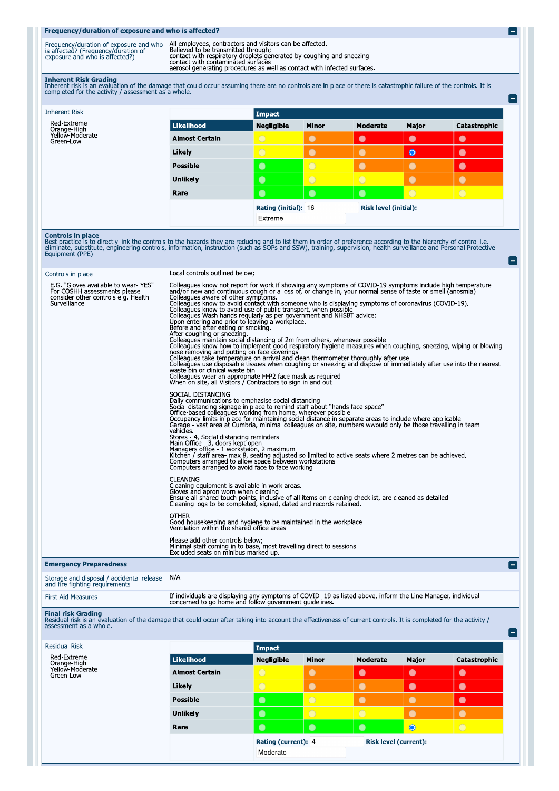## Frequency/duration of exposure and who is affected?

| Frequency/duration of exposure and who<br>is affected? (Frequency/duration of<br>exposure and who is affected?) | All employees, contractors and visitors can be affected<br>Believed to be transmitted through:<br>contact with respiratory droplets generated by coughing and sneezing<br>contact with contaminated surfaces<br>aerosol generating procedures as well as contact with infected surfaces. |
|-----------------------------------------------------------------------------------------------------------------|------------------------------------------------------------------------------------------------------------------------------------------------------------------------------------------------------------------------------------------------------------------------------------------|

E

e

**Inherent Risk Grading**<br>Inherent risk is an evaluation of the damage that could occur assuming there are no controls are in place or there is catastrophic failure of the controls. It is<br>completed for the activity / assessm

| <b>Inherent Risk</b>                                       |                       | Impact            |                      |            |                       |              |
|------------------------------------------------------------|-----------------------|-------------------|----------------------|------------|-----------------------|--------------|
| Red-Extreme<br>Orange-High<br>Yellow-Moderate<br>Green-Low | Likelihood            | <b>Negligible</b> | <b>Minor</b>         | Moderate   | Major                 | Catastrophic |
|                                                            | <b>Almost Certain</b> | $\circ$           | $\bullet$            | $\bullet$  | $\bullet$             | $\bullet$    |
|                                                            | Likely                | $\bigcirc$        | $\bullet$            | $\bullet$  | $\bullet$             | $\bullet$    |
|                                                            | <b>Possible</b>       | $\bullet$         | $\overline{O}$       | $\bullet$  | $\bullet$             | O            |
|                                                            | <b>Unlikely</b>       | $\bullet$         | $\circ$              | $\bigcirc$ | $\bullet$             | $\bullet$    |
|                                                            | Rare                  | $\bullet$         | $\bullet$            | $\bullet$  | $\circ$               | $\bigcirc$   |
|                                                            |                       | Extreme           | Rating (initial): 16 |            | Risk level (initial): |              |

**Controls in place**<br>Best practice is to directly link the controls to the hazards they are reducing and to list them in order of preference according to the hierarchy of control i.e.<br>eliminate, substitute, engineering cont

| Controls in place                                                                                                           | Local controls outlined below;                                                                                                                                                                                                                                                                                                                                                                                                                                                                                                                                                                                                                                                                                                                                                                                                                                                                                                                                                                                                                                                                                                                                                                                                                                    |  |  |  |
|-----------------------------------------------------------------------------------------------------------------------------|-------------------------------------------------------------------------------------------------------------------------------------------------------------------------------------------------------------------------------------------------------------------------------------------------------------------------------------------------------------------------------------------------------------------------------------------------------------------------------------------------------------------------------------------------------------------------------------------------------------------------------------------------------------------------------------------------------------------------------------------------------------------------------------------------------------------------------------------------------------------------------------------------------------------------------------------------------------------------------------------------------------------------------------------------------------------------------------------------------------------------------------------------------------------------------------------------------------------------------------------------------------------|--|--|--|
| E.G. "Gloves available to wear YES"<br>For COSHH assessments please<br>consider other controls e.g. Health<br>Surveillance. | Colleagues know not report for work if showing any symptoms of COVID-19 symptoms include high temperature<br>and/or new and continuous cough or a loss of, or change in, your normal sense of taste or smell (anosmia)<br>Colleagues aware of other symptoms.<br>Colleagues know to avoid contact with someone who is displaying symptoms of coronavirus (COVID-19).<br>Colleagues know to avoid use of public transport, when possible<br>Colleagues Wash hands regularly as per government and NHSBT advice:<br>Upon entering and prior to leaving a workplace.<br>Before and after eating or smoking.<br>After coughing or sneezing.<br>Colleagues maintain social distancing of 2m from others, whenever possible.<br>Colleagues know how to implement good respiratory hygiene measures when coughing, sneezing, wiping or blowing<br>nose removing and putting on face coverings<br>Colleagues take temperature on arrival and clean thermometer thoroughly after use.<br>Colleagues use disposable tissues when coughing or sneezing and dispose of immediately after use into the nearest<br>waste bin or clinical waste bin<br>Colleagues wear an appropriate FFP2 face mask as required<br>When on site, all Visitors / Contractors to sign in and out. |  |  |  |
|                                                                                                                             | SOCIAL DISTANCING<br>Daily communications to emphasise social distancing.<br>Social distancing signage in place to remind staff about "hands face space"<br>Office based colleagues working from home, wherever possible<br>Occupancy limits in place for maintaining social distance in separate areas to include where applicable<br>Garage - vast area at Cumbria, minimal colleagues on site, numbers wwould only be those travelling in team<br>vehicles.<br>Stores - 4, Social distancing reminders<br>Main Office - 3, doors kept open.<br>Managers office - 1 workstaion, 2 maximum<br>Kitchen / staff area- max 8, seating adjusted so limited to active seats where 2 metres can be achieved.<br>Computers arranged to allow space between workstations<br>Computers arranged to avoid face to face working                                                                                                                                                                                                                                                                                                                                                                                                                                             |  |  |  |
|                                                                                                                             | <b>CLEANING</b><br>Cleaning equipment is available in work areas.<br>Gloves and apron worn when cleaning<br>Ensure all shared touch points, inclusive of all items on cleaning checklist, are cleaned as detailed.<br>Cleaning logs to be completed, signed, dated and records retained.                                                                                                                                                                                                                                                                                                                                                                                                                                                                                                                                                                                                                                                                                                                                                                                                                                                                                                                                                                          |  |  |  |
|                                                                                                                             | <b>OTHER</b><br>Good housekeeping and hygiene to be maintained in the workplace<br>Ventilation within the shared office areas                                                                                                                                                                                                                                                                                                                                                                                                                                                                                                                                                                                                                                                                                                                                                                                                                                                                                                                                                                                                                                                                                                                                     |  |  |  |
|                                                                                                                             | Please add other controls below;<br>Minimal staff coming in to base, most travelling direct to sessions.<br>Excluded seats on minibus marked up.                                                                                                                                                                                                                                                                                                                                                                                                                                                                                                                                                                                                                                                                                                                                                                                                                                                                                                                                                                                                                                                                                                                  |  |  |  |
| <b>Emergency Preparedness</b>                                                                                               |                                                                                                                                                                                                                                                                                                                                                                                                                                                                                                                                                                                                                                                                                                                                                                                                                                                                                                                                                                                                                                                                                                                                                                                                                                                                   |  |  |  |
| Storage and disposal / accidental release<br>and fire fighting requirements                                                 | N/A                                                                                                                                                                                                                                                                                                                                                                                                                                                                                                                                                                                                                                                                                                                                                                                                                                                                                                                                                                                                                                                                                                                                                                                                                                                               |  |  |  |
| <b>First Aid Measures</b>                                                                                                   | If individuals are displaying any symptoms of COVID -19 as listed above, inform the Line Manager, individual<br>concerned to go home and follow government guidelines.                                                                                                                                                                                                                                                                                                                                                                                                                                                                                                                                                                                                                                                                                                                                                                                                                                                                                                                                                                                                                                                                                            |  |  |  |
| <b>Final risk Grading</b><br>assessment as a whole.                                                                         | Residual risk is an evaluation of the damage that could occur after taking into account the effectiveness of current controls. It is completed for the activity /                                                                                                                                                                                                                                                                                                                                                                                                                                                                                                                                                                                                                                                                                                                                                                                                                                                                                                                                                                                                                                                                                                 |  |  |  |

| <b>Residual Risk</b>                                       |                       | Impact              |              |                              |           |              |
|------------------------------------------------------------|-----------------------|---------------------|--------------|------------------------------|-----------|--------------|
| Red-Extreme<br>Orange-High<br>Yellow-Moderate<br>Green-Low | Likelihood            | <b>Negligible</b>   | <b>Minor</b> | Moderate                     | Major     | Catastrophic |
|                                                            | <b>Almost Certain</b> | $\bigcirc$          | $\bullet$    | $\bullet$                    | $\bullet$ | $\bullet$    |
|                                                            | Likely                | $\bigcirc$          | $\bullet$    | $\bullet$                    | $\bullet$ | $\bullet$    |
|                                                            | <b>Possible</b>       | $\bullet$           | $\bigcirc$   | $\bullet$                    |           | $\bullet$    |
|                                                            | <b>Unlikely</b>       | $\bullet$           | $\bigcirc$   | $\bigcirc$                   | $\bullet$ | $\bullet$    |
|                                                            | Rare                  | $\bullet$           | $\bullet$    | $\bullet$                    | O         | $\bigcirc$   |
|                                                            |                       | Rating (current): 4 |              | <b>Risk level (current):</b> |           |              |
|                                                            |                       | Moderate            |              |                              |           |              |